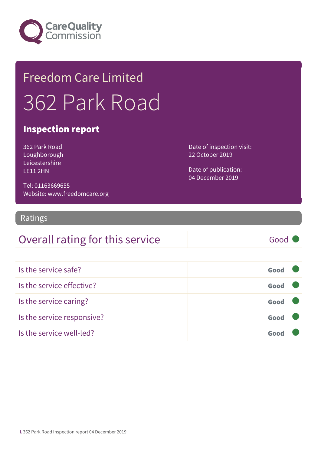

## Freedom Care Limited 362 Park Road

#### Inspection report

362 Park Road Loughborough Leicestershire LE11 2HN

Date of inspection visit: 22 October 2019

Date of publication: 04 December 2019

Tel: 01163669655 Website: www.freedomcare.org

#### Ratings

### Overall rating for this service Good

| Is the service safe?       | Good |  |
|----------------------------|------|--|
| Is the service effective?  | Good |  |
| Is the service caring?     | Good |  |
| Is the service responsive? | Good |  |
| Is the service well-led?   | Goo  |  |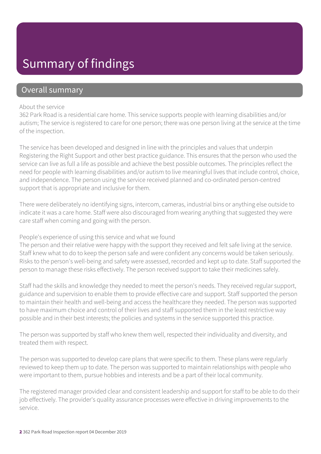### Summary of findings

#### Overall summary

#### About the service

362 Park Road is a residential care home. This service supports people with learning disabilities and/or autism; The service is registered to care for one person; there was one person living at the service at the time of the inspection.

The service has been developed and designed in line with the principles and values that underpin Registering the Right Support and other best practice guidance. This ensures that the person who used the service can live as full a life as possible and achieve the best possible outcomes. The principles reflect the need for people with learning disabilities and/or autism to live meaningful lives that include control, choice, and independence. The person using the service received planned and co-ordinated person-centred support that is appropriate and inclusive for them.

There were deliberately no identifying signs, intercom, cameras, industrial bins or anything else outside to indicate it was a care home. Staff were also discouraged from wearing anything that suggested they were care staff when coming and going with the person.

#### People's experience of using this service and what we found

The person and their relative were happy with the support they received and felt safe living at the service. Staff knew what to do to keep the person safe and were confident any concerns would be taken seriously. Risks to the person's well-being and safety were assessed, recorded and kept up to date. Staff supported the person to manage these risks effectively. The person received support to take their medicines safely.

Staff had the skills and knowledge they needed to meet the person's needs. They received regular support, guidance and supervision to enable them to provide effective care and support. Staff supported the person to maintain their health and well-being and access the healthcare they needed. The person was supported to have maximum choice and control of their lives and staff supported them in the least restrictive way possible and in their best interests; the policies and systems in the service supported this practice.

The person was supported by staff who knew them well, respected their individuality and diversity, and treated them with respect.

The person was supported to develop care plans that were specific to them. These plans were regularly reviewed to keep them up to date. The person was supported to maintain relationships with people who were important to them, pursue hobbies and interests and be a part of their local community.

The registered manager provided clear and consistent leadership and support for staff to be able to do their job effectively. The provider's quality assurance processes were effective in driving improvements to the service.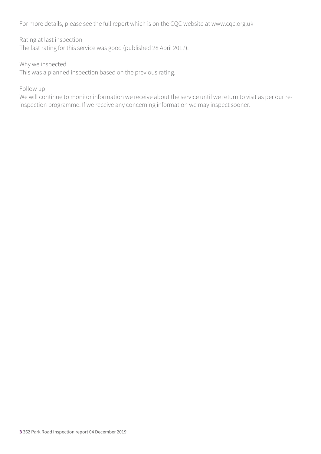For more details, please see the full report which is on the CQC website at www.cqc.org.uk

Rating at last inspection The last rating for this service was good (published 28 April 2017).

Why we inspected This was a planned inspection based on the previous rating.

Follow up

We will continue to monitor information we receive about the service until we return to visit as per our reinspection programme. If we receive any concerning information we may inspect sooner.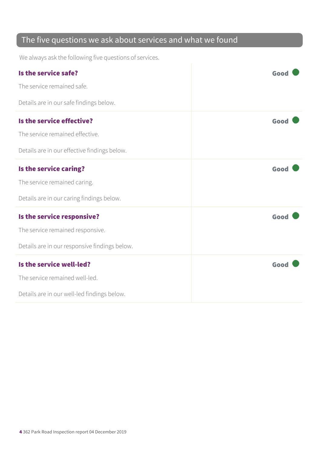### The five questions we ask about services and what we found

We always ask the following five questions of services.

| Is the service safe?                          | Good |
|-----------------------------------------------|------|
| The service remained safe.                    |      |
| Details are in our safe findings below.       |      |
| Is the service effective?                     | Good |
| The service remained effective.               |      |
| Details are in our effective findings below.  |      |
| Is the service caring?                        | Good |
| The service remained caring.                  |      |
| Details are in our caring findings below.     |      |
| Is the service responsive?                    | Good |
| The service remained responsive.              |      |
| Details are in our responsive findings below. |      |
| Is the service well-led?                      | Good |
| The service remained well-led.                |      |
| Details are in our well-led findings below.   |      |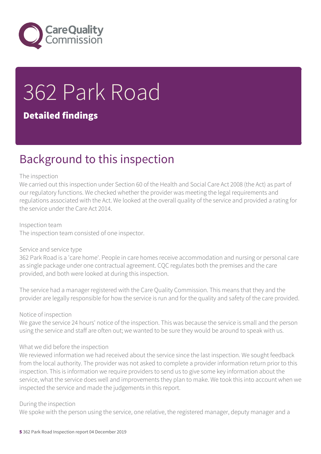

# 362 Park Road

#### Detailed findings

### Background to this inspection

#### The inspection

We carried out this inspection under Section 60 of the Health and Social Care Act 2008 (the Act) as part of our regulatory functions. We checked whether the provider was meeting the legal requirements and regulations associated with the Act. We looked at the overall quality of the service and provided a rating for the service under the Care Act 2014.

Inspection team The inspection team consisted of one inspector.

#### Service and service type

362 Park Road is a 'care home'. People in care homes receive accommodation and nursing or personal care as single package under one contractual agreement. CQC regulates both the premises and the care provided, and both were looked at during this inspection.

The service had a manager registered with the Care Quality Commission. This means that they and the provider are legally responsible for how the service is run and for the quality and safety of the care provided.

#### Notice of inspection

We gave the service 24 hours' notice of the inspection. This was because the service is small and the person using the service and staff are often out; we wanted to be sure they would be around to speak with us.

#### What we did before the inspection

We reviewed information we had received about the service since the last inspection. We sought feedback from the local authority. The provider was not asked to complete a provider information return prior to this inspection. This is information we require providers to send us to give some key information about the service, what the service does well and improvements they plan to make. We took this into account when we inspected the service and made the judgements in this report.

#### During the inspection

We spoke with the person using the service, one relative, the registered manager, deputy manager and a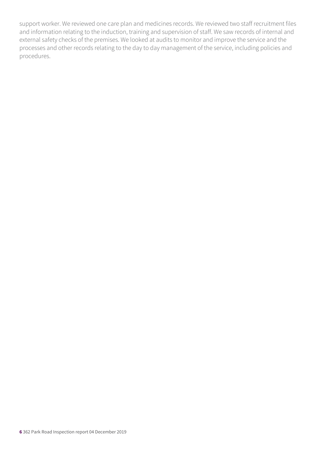support worker. We reviewed one care plan and medicines records. We reviewed two staff recruitment files and information relating to the induction, training and supervision of staff. We saw records of internal and external safety checks of the premises. We looked at audits to monitor and improve the service and the processes and other records relating to the day to day management of the service, including policies and procedures.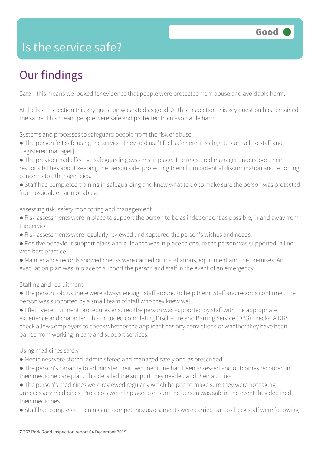### Is the service safe?

### Our findings

Safe – this means we looked for evidence that people were protected from abuse and avoidable harm.

At the last inspection this key question was rated as good. At this inspection this key question has remained the same. This meant people were safe and protected from avoidable harm.

Systems and processes to safeguard people from the risk of abuse

- The person felt safe using the service. They told us, "I feel safe here, it's alright. I can talk to staff and [registered manager]."
- The provider had effective safeguarding systems in place. The registered manager understood their responsibilities about keeping the person safe, protecting them from potential discrimination and reporting concerns to other agencies.
- Staff had completed training in safeguarding and knew what to do to make sure the person was protected from avoidable harm or abuse.

Assessing risk, safety monitoring and management

- Risk assessments were in place to support the person to be as independent as possible, in and away from the service.
- Risk assessments were regularly reviewed and captured the person's wishes and needs.
- Positive behaviour support plans and guidance was in place to ensure the person was supported in line with best practice.
- Maintenance records showed checks were carried on installations, equipment and the premises. An evacuation plan was in place to support the person and staff in the event of an emergency.

Staffing and recruitment

- The person told us there were always enough staff around to help them. Staff and records confirmed the person was supported by a small team of staff who they knew well.
- Effective recruitment procedures ensured the person was supported by staff with the appropriate experience and character. This included completing Disclosure and Barring Service (DBS) checks. A DBS check allows employers to check whether the applicant has any convictions or whether they have been barred from working in care and support services.

#### Using medicines safely

- Medicines were stored, administered and managed safely and as prescribed.
- The person's capacity to administer their own medicine had been assessed and outcomes recorded in their medicine care plan. This detailed the support they needed and their abilities.
- The person's medicines were reviewed regularly which helped to make sure they were not taking unnecessary medicines. Protocols were in place to ensure the person was safe in the event they declined their medicines.
- Staff had completed training and competency assessments were carried out to check staff were following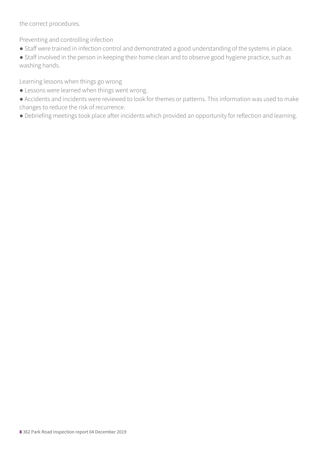the correct procedures.

Preventing and controlling infection

● Staff were trained in infection control and demonstrated a good understanding of the systems in place.

● Staff involved in the person in keeping their home clean and to observe good hygiene practice, such as washing hands.

Learning lessons when things go wrong

- Lessons were learned when things went wrong.
- Accidents and incidents were reviewed to look for themes or patterns. This information was used to make changes to reduce the risk of recurrence.
- Debriefing meetings took place after incidents which provided an opportunity for reflection and learning.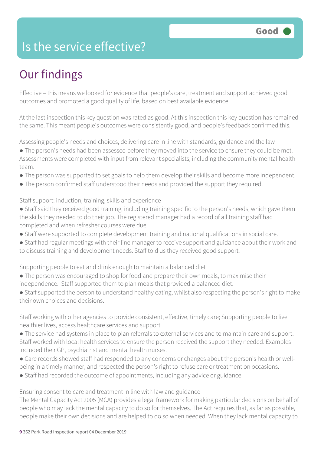### Is the service effective?

### Our findings

Effective – this means we looked for evidence that people's care, treatment and support achieved good outcomes and promoted a good quality of life, based on best available evidence.

At the last inspection this key question was rated as good. At this inspection this key question has remained the same. This meant people's outcomes were consistently good, and people's feedback confirmed this.

Assessing people's needs and choices; delivering care in line with standards, guidance and the law

- The person's needs had been assessed before they moved into the service to ensure they could be met. Assessments were completed with input from relevant specialists, including the community mental health team.
- The person was supported to set goals to help them develop their skills and become more independent.
- The person confirmed staff understood their needs and provided the support they required.

Staff support: induction, training, skills and experience

- Staff said they received good training, including training specific to the person's needs, which gave them the skills they needed to do their job. The registered manager had a record of all training staff had completed and when refresher courses were due.
- Staff were supported to complete development training and national qualifications in social care.
- Staff had regular meetings with their line manager to receive support and guidance about their work and to discuss training and development needs. Staff told us they received good support.

Supporting people to eat and drink enough to maintain a balanced diet

- The person was encouraged to shop for food and prepare their own meals, to maximise their independence. Staff supported them to plan meals that provided a balanced diet.
- Staff supported the person to understand healthy eating, whilst also respecting the person's right to make their own choices and decisions.

Staff working with other agencies to provide consistent, effective, timely care; Supporting people to live healthier lives, access healthcare services and support

- The service had systems in place to plan referrals to external services and to maintain care and support. Staff worked with local health services to ensure the person received the support they needed. Examples included their GP, psychiatrist and mental health nurses.
- Care records showed staff had responded to any concerns or changes about the person's health or wellbeing in a timely manner, and respected the person's right to refuse care or treatment on occasions.
- Staff had recorded the outcome of appointments, including any advice or guidance.

Ensuring consent to care and treatment in line with law and guidance

The Mental Capacity Act 2005 (MCA) provides a legal framework for making particular decisions on behalf of people who may lack the mental capacity to do so for themselves. The Act requires that, as far as possible, people make their own decisions and are helped to do so when needed. When they lack mental capacity to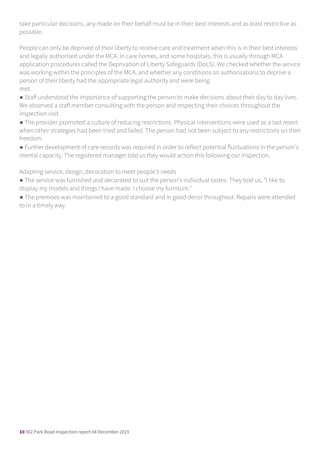take particular decisions, any made on their behalf must be in their best interests and as least restrictive as possible.

People can only be deprived of their liberty to receive care and treatment when this is in their best interests and legally authorised under the MCA. In care homes, and some hospitals, this is usually through MCA application procedures called the Deprivation of Liberty Safeguards (DoLS). We checked whether the service was working within the principles of the MCA, and whether any conditions on authorisations to deprive a person of their liberty had the appropriate legal authority and were being met.

● Staff understood the importance of supporting the person to make decisions about their day to day lives. We observed a staff member consulting with the person and respecting their choices throughout the inspection visit.

● The provider promoted a culture of reducing restrictions. Physical interventions were used as a last resort when other strategies had been tried and failed. The person had not been subject to any restrictions on their freedom.

● Further development of care records was required in order to reflect potential fluctuations in the person's mental capacity. The registered manager told us they would action this following our inspection.

Adapting service, design, decoration to meet people's needs

● The service was furnished and decorated to suit the person's individual tastes. They told us, "I like to display my models and things I have made. I choose my furniture."

● The premises was maintained to a good standard and in good decor throughout. Repairs were attended to in a timely way.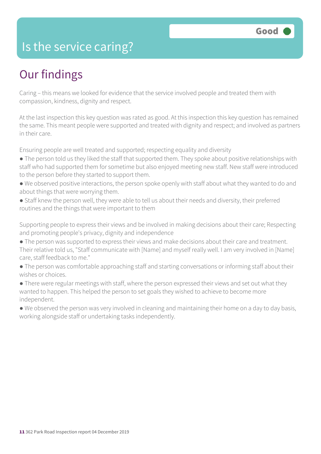### Is the service caring?

### Our findings

Caring – this means we looked for evidence that the service involved people and treated them with compassion, kindness, dignity and respect.

At the last inspection this key question was rated as good. At this inspection this key question has remained the same. This meant people were supported and treated with dignity and respect; and involved as partners in their care.

Ensuring people are well treated and supported; respecting equality and diversity

- The person told us they liked the staff that supported them. They spoke about positive relationships with staff who had supported them for sometime but also enjoyed meeting new staff. New staff were introduced to the person before they started to support them.
- We observed positive interactions, the person spoke openly with staff about what they wanted to do and about things that were worrying them.
- Staff knew the person well, they were able to tell us about their needs and diversity, their preferred routines and the things that were important to them

Supporting people to express their views and be involved in making decisions about their care; Respecting and promoting people's privacy, dignity and independence

- The person was supported to express their views and make decisions about their care and treatment. Their relative told us, "Staff communicate with [Name] and myself really well. I am very involved in [Name] care, staff feedback to me."
- The person was comfortable approaching staff and starting conversations or informing staff about their wishes or choices.
- There were regular meetings with staff, where the person expressed their views and set out what they wanted to happen. This helped the person to set goals they wished to achieve to become more independent.
- We observed the person was very involved in cleaning and maintaining their home on a day to day basis, working alongside staff or undertaking tasks independently.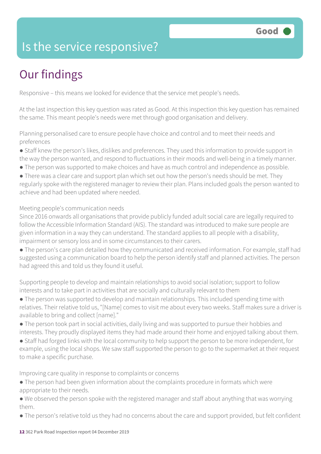### Is the service responsive?

### Our findings

Responsive – this means we looked for evidence that the service met people's needs.

At the last inspection this key question was rated as Good. At this inspection this key question has remained the same. This meant people's needs were met through good organisation and delivery.

Planning personalised care to ensure people have choice and control and to meet their needs and preferences

- Staff knew the person's likes, dislikes and preferences. They used this information to provide support in the way the person wanted, and respond to fluctuations in their moods and well-being in a timely manner.
- The person was supported to make choices and have as much control and independence as possible.

• There was a clear care and support plan which set out how the person's needs should be met. They regularly spoke with the registered manager to review their plan. Plans included goals the person wanted to achieve and had been updated where needed.

Meeting people's communication needs

Since 2016 onwards all organisations that provide publicly funded adult social care are legally required to follow the Accessible Information Standard (AIS). The standard was introduced to make sure people are given information in a way they can understand. The standard applies to all people with a disability, impairment or sensory loss and in some circumstances to their carers.

● The person's care plan detailed how they communicated and received information. For example, staff had suggested using a communication board to help the person identify staff and planned activities. The person had agreed this and told us they found it useful.

Supporting people to develop and maintain relationships to avoid social isolation; support to follow interests and to take part in activities that are socially and culturally relevant to them

- The person was supported to develop and maintain relationships. This included spending time with relatives. Their relative told us, "[Name] comes to visit me about every two weeks. Staff makes sure a driver is available to bring and collect [name]."
- The person took part in social activities, daily living and was supported to pursue their hobbies and interests. They proudly displayed items they had made around their home and enjoyed talking about them.
- Staff had forged links with the local community to help support the person to be more independent, for example, using the local shops. We saw staff supported the person to go to the supermarket at their request to make a specific purchase.

Improving care quality in response to complaints or concerns

- The person had been given information about the complaints procedure in formats which were appropriate to their needs.
- We observed the person spoke with the registered manager and staff about anything that was worrying them.
- The person's relative told us they had no concerns about the care and support provided, but felt confident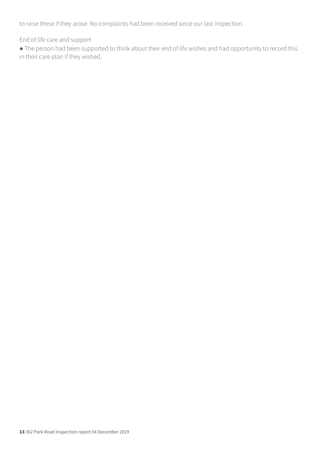to raise these if they arose. No complaints had been received since our last inspection.

End of life care and support

● The person had been supported to think about their end of life wishes and had opportunity to record this in their care plan if they wished.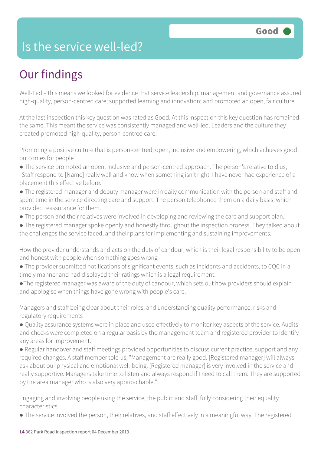### Is the service well-led?

### Our findings

Well-Led – this means we looked for evidence that service leadership, management and governance assured high-quality, person-centred care; supported learning and innovation; and promoted an open, fair culture.

At the last inspection this key question was rated as Good. At this inspection this key question has remained the same. This meant the service was consistently managed and well-led. Leaders and the culture they created promoted high-quality, person-centred care.

Promoting a positive culture that is person-centred, open, inclusive and empowering, which achieves good outcomes for people

- The service promoted an open, inclusive and person-centred approach. The person's relative told us, "Staff respond to [Name] really well and know when something isn't right. I have never had experience of a placement this effective before."
- The registered manager and deputy manager were in daily communication with the person and staff and spent time in the service directing care and support. The person telephoned them on a daily basis, which provided reassurance for them.
- The person and their relatives were involved in developing and reviewing the care and support plan.
- The registered manager spoke openly and honestly throughout the inspection process. They talked about the challenges the service faced, and their plans for implementing and sustaining improvements.

How the provider understands and acts on the duty of candour, which is their legal responsibility to be open and honest with people when something goes wrong

- The provider submitted notifications of significant events, such as incidents and accidents, to CQC in a timely manner and had displayed their ratings which is a legal requirement.
- ●The registered manager was aware of the duty of candour, which sets out how providers should explain and apologise when things have gone wrong with people's care.

Managers and staff being clear about their roles, and understanding quality performance, risks and regulatory requirements

● Quality assurance systems were in place and used effectively to monitor key aspects of the service. Audits and checks were completed on a regular basis by the management team and registered provider to identify any areas for improvement.

● Regular handover and staff meetings provided opportunities to discuss current practice, support and any required changes. A staff member told us, "Management are really good. [Registered manager] will always ask about our physical and emotional well-being. [Registered manager] is very involved in the service and really supportive. Managers take time to listen and always respond if I need to call them. They are supported by the area manager who is also very approachable."

Engaging and involving people using the service, the public and staff, fully considering their equality characteristics

● The service involved the person, their relatives, and staff effectively in a meaningful way. The registered